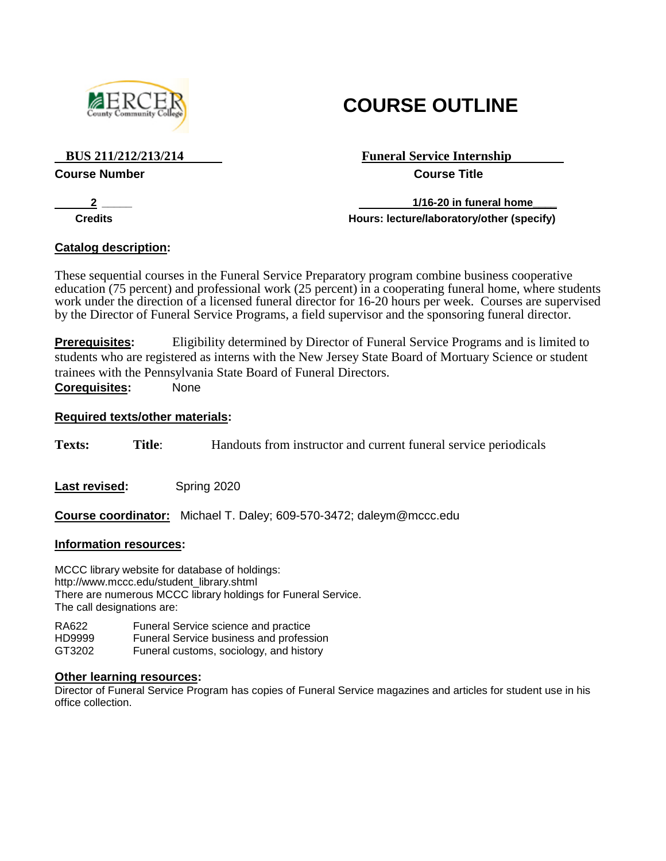

# **COURSE OUTLINE**

#### **Course Number Course Title**

# **BUS 211/212/213/214 Funeral Service Internship**

**2 1/16-20 in funeral home Credits Hours: lecture/laboratory/other (specify)**

# **Catalog description:**

These sequential courses in the Funeral Service Preparatory program combine business cooperative education (75 percent) and professional work (25 percent) in a cooperating funeral home, where students work under the direction of a licensed funeral director for 16-20 hours per week. Courses are supervised by the Director of Funeral Service Programs, a field supervisor and the sponsoring funeral director.

**Prerequisites:** Eligibility determined by Director of Funeral Service Programs and is limited to students who are registered as interns with the New Jersey State Board of Mortuary Science or student trainees with the Pennsylvania State Board of Funeral Directors. **Corequisites:** None

# **Required texts/other materials:**

**Texts: Title**: Handouts from instructor and current funeral service periodicals

Last revised: Spring 2020

**Course coordinator:** Michael T. Daley; 609-570-3472; daleym@mccc.edu

### **Information resources:**

MCCC library website for database of holdings: [http://www.mccc.edu/student\\_library.shtml](http://www.mccc.edu/student_library.shtml) There are numerous MCCC library holdings for Funeral Service. The call designations are:

RA622 Funeral Service science and practice HD9999 Funeral Service business and profession GT3202 Funeral customs, sociology, and history

### **Other learning resources:**

Director of Funeral Service Program has copies of Funeral Service magazines and articles for student use in his office collection.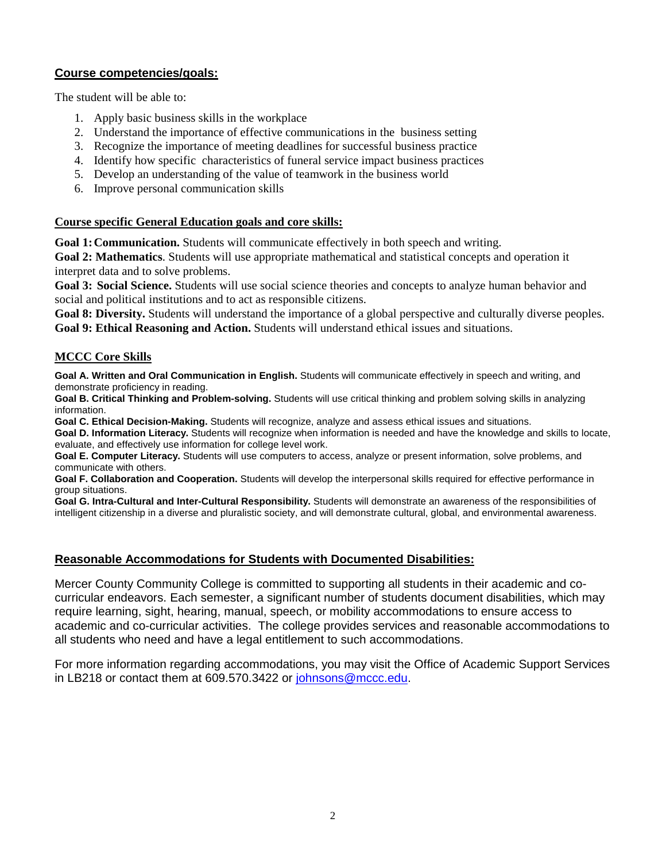## **Course competencies/goals:**

The student will be able to:

- 1. Apply basic business skills in the workplace
- 2. Understand the importance of effective communications in the business setting
- 3. Recognize the importance of meeting deadlines for successful business practice
- 4. Identify how specific characteristics of funeral service impact business practices
- 5. Develop an understanding of the value of teamwork in the business world
- 6. Improve personal communication skills

#### **Course specific General Education goals and core skills:**

**Goal 1:Communication.** Students will communicate effectively in both speech and writing.

**Goal 2: Mathematics**. Students will use appropriate mathematical and statistical concepts and operation it interpret data and to solve problems.

**Goal 3: Social Science.** Students will use social science theories and concepts to analyze human behavior and social and political institutions and to act as responsible citizens.

**Goal 8: Diversity.** Students will understand the importance of a global perspective and culturally diverse peoples. **Goal 9: Ethical Reasoning and Action.** Students will understand ethical issues and situations.

#### **MCCC Core Skills**

**Goal A. Written and Oral Communication in English.** Students will communicate effectively in speech and writing, and demonstrate proficiency in reading.

**Goal B. Critical Thinking and Problem-solving.** Students will use critical thinking and problem solving skills in analyzing information.

**Goal C. Ethical Decision-Making.** Students will recognize, analyze and assess ethical issues and situations.

**Goal D. Information Literacy.** Students will recognize when information is needed and have the knowledge and skills to locate, evaluate, and effectively use information for college level work.

**Goal E. Computer Literacy.** Students will use computers to access, analyze or present information, solve problems, and communicate with others.

**Goal F. Collaboration and Cooperation.** Students will develop the interpersonal skills required for effective performance in group situations.

**Goal G. Intra-Cultural and Inter-Cultural Responsibility.** Students will demonstrate an awareness of the responsibilities of intelligent citizenship in a diverse and pluralistic society, and will demonstrate cultural, global, and environmental awareness.

### **Reasonable Accommodations for Students with Documented Disabilities:**

Mercer County Community College is committed to supporting all students in their academic and cocurricular endeavors. Each semester, a significant number of students document disabilities, which may require learning, sight, hearing, manual, speech, or mobility accommodations to ensure access to academic and co-curricular activities. The college provides services and reasonable accommodations to all students who need and have a legal entitlement to such accommodations.

For more information regarding accommodations, you may visit the Office of Academic Support Services in LB218 or contact them at 609.570.3422 or [johnsons@mccc.edu.](mailto:johnsons@mccc.edu)